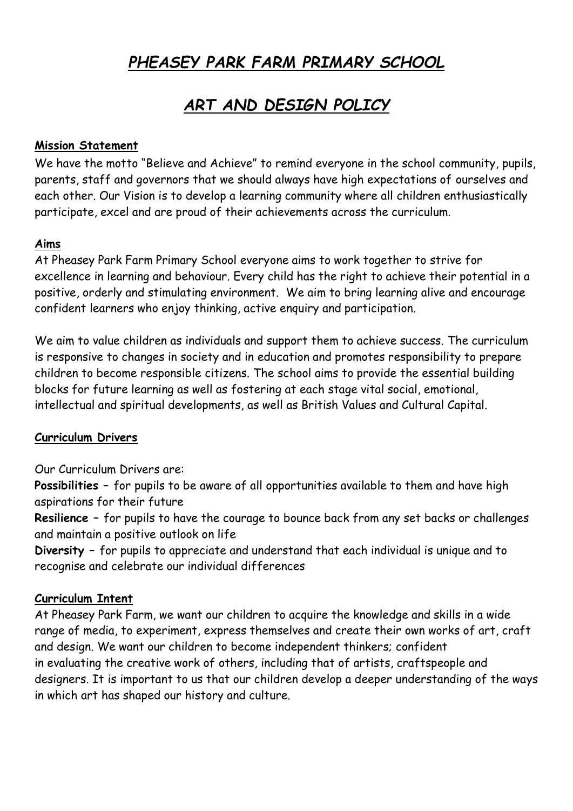# *PHEASEY PARK FARM PRIMARY SCHOOL*

# *ART AND DESIGN POLICY*

#### **Mission Statement**

We have the motto "Believe and Achieve" to remind everyone in the school community, pupils, parents, staff and governors that we should always have high expectations of ourselves and each other. Our Vision is to develop a learning community where all children enthusiastically participate, excel and are proud of their achievements across the curriculum.

#### **Aims**

At Pheasey Park Farm Primary School everyone aims to work together to strive for excellence in learning and behaviour. Every child has the right to achieve their potential in a positive, orderly and stimulating environment. We aim to bring learning alive and encourage confident learners who enjoy thinking, active enquiry and participation.

We aim to value children as individuals and support them to achieve success. The curriculum is responsive to changes in society and in education and promotes responsibility to prepare children to become responsible citizens. The school aims to provide the essential building blocks for future learning as well as fostering at each stage vital social, emotional, intellectual and spiritual developments, as well as British Values and Cultural Capital.

## **Curriculum Drivers**

Our Curriculum Drivers are:

**Possibilities –** for pupils to be aware of all opportunities available to them and have high aspirations for their future

**Resilience –** for pupils to have the courage to bounce back from any set backs or challenges and maintain a positive outlook on life

**Diversity –** for pupils to appreciate and understand that each individual is unique and to recognise and celebrate our individual differences

## **Curriculum Intent**

At Pheasey Park Farm, we want our children to acquire the knowledge and skills in a wide range of media, to experiment, express themselves and create their own works of art, craft and design. We want our children to become independent thinkers; confident in evaluating the creative work of others, including that of artists, craftspeople and designers. It is important to us that our children develop a deeper understanding of the ways in which art has shaped our history and culture.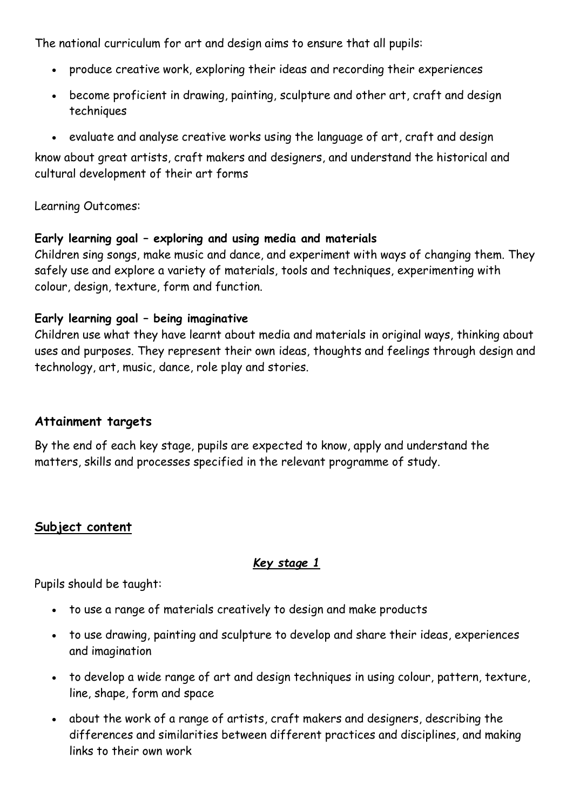The national curriculum for art and design aims to ensure that all pupils:

- produce creative work, exploring their ideas and recording their experiences
- become proficient in drawing, painting, sculpture and other art, craft and design techniques
- evaluate and analyse creative works using the language of art, craft and design

know about great artists, craft makers and designers, and understand the historical and cultural development of their art forms

Learning Outcomes:

#### **Early learning goal – exploring and using media and materials**

Children sing songs, make music and dance, and experiment with ways of changing them. They safely use and explore a variety of materials, tools and techniques, experimenting with colour, design, texture, form and function.

#### **Early learning goal – being imaginative**

Children use what they have learnt about media and materials in original ways, thinking about uses and purposes. They represent their own ideas, thoughts and feelings through design and technology, art, music, dance, role play and stories.

#### **Attainment targets**

By the end of each key stage, pupils are expected to know, apply and understand the matters, skills and processes specified in the relevant programme of study.

# **Subject content**

## *Key stage 1*

Pupils should be taught:

- to use a range of materials creatively to design and make products
- to use drawing, painting and sculpture to develop and share their ideas, experiences and imagination
- to develop a wide range of art and design techniques in using colour, pattern, texture, line, shape, form and space
- about the work of a range of artists, craft makers and designers, describing the differences and similarities between different practices and disciplines, and making links to their own work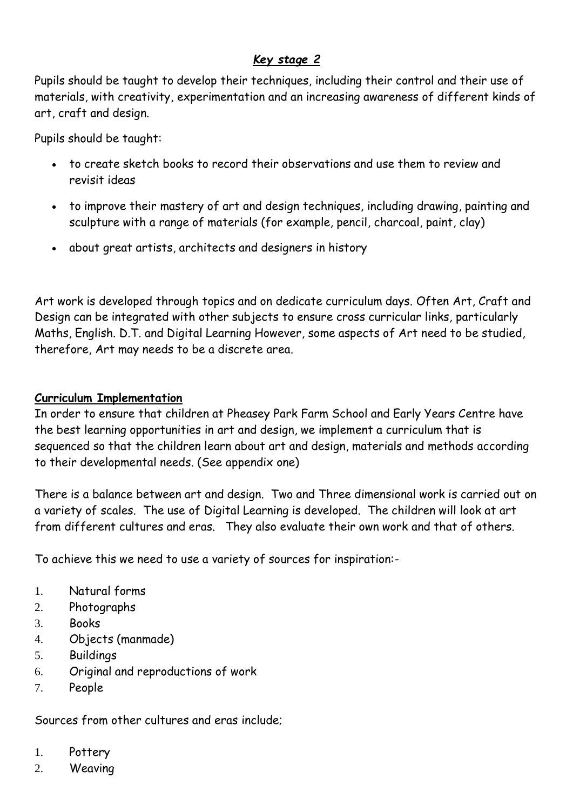## *Key stage 2*

Pupils should be taught to develop their techniques, including their control and their use of materials, with creativity, experimentation and an increasing awareness of different kinds of art, craft and design.

Pupils should be taught:

- to create sketch books to record their observations and use them to review and revisit ideas
- to improve their mastery of art and design techniques, including drawing, painting and sculpture with a range of materials (for example, pencil, charcoal, paint, clay)
- about great artists, architects and designers in history

Art work is developed through topics and on dedicate curriculum days. Often Art, Craft and Design can be integrated with other subjects to ensure cross curricular links, particularly Maths, English. D.T. and Digital Learning However, some aspects of Art need to be studied, therefore, Art may needs to be a discrete area.

#### **Curriculum Implementation**

In order to ensure that children at Pheasey Park Farm School and Early Years Centre have the best learning opportunities in art and design, we implement a curriculum that is sequenced so that the children learn about art and design, materials and methods according to their developmental needs. (See appendix one)

There is a balance between art and design. Two and Three dimensional work is carried out on a variety of scales. The use of Digital Learning is developed. The children will look at art from different cultures and eras. They also evaluate their own work and that of others.

To achieve this we need to use a variety of sources for inspiration:-

- 1. Natural forms
- 2. Photographs
- 3. Books
- 4. Objects (manmade)
- 5. Buildings
- 6. Original and reproductions of work
- 7. People

Sources from other cultures and eras include;

- 1. Pottery
- 2. Weaving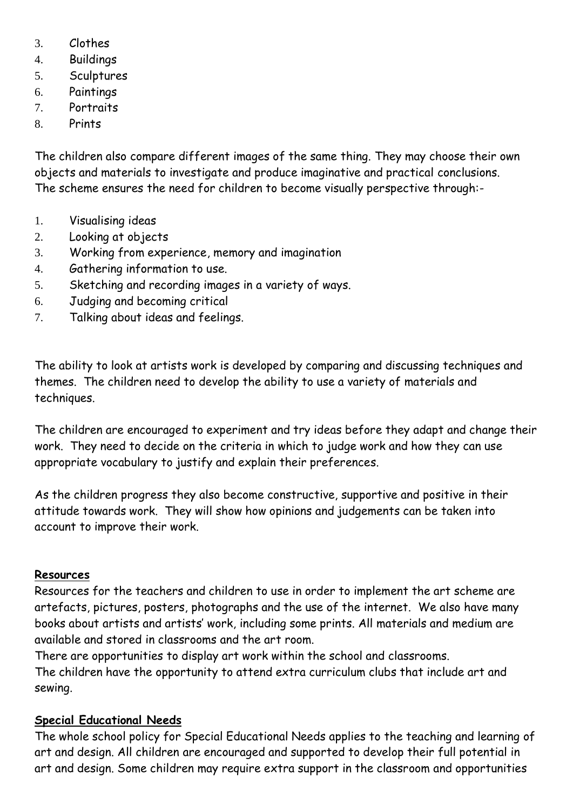- 3. Clothes
- 4. Buildings
- 5. Sculptures
- 6. Paintings
- 7. Portraits
- 8. Prints

The children also compare different images of the same thing. They may choose their own objects and materials to investigate and produce imaginative and practical conclusions. The scheme ensures the need for children to become visually perspective through:-

- 1. Visualising ideas
- 2. Looking at objects
- 3. Working from experience, memory and imagination
- 4. Gathering information to use.
- 5. Sketching and recording images in a variety of ways.
- 6. Judging and becoming critical
- 7. Talking about ideas and feelings.

The ability to look at artists work is developed by comparing and discussing techniques and themes. The children need to develop the ability to use a variety of materials and techniques.

The children are encouraged to experiment and try ideas before they adapt and change their work. They need to decide on the criteria in which to judge work and how they can use appropriate vocabulary to justify and explain their preferences.

As the children progress they also become constructive, supportive and positive in their attitude towards work. They will show how opinions and judgements can be taken into account to improve their work.

## **Resources**

Resources for the teachers and children to use in order to implement the art scheme are artefacts, pictures, posters, photographs and the use of the internet. We also have many books about artists and artists' work, including some prints. All materials and medium are available and stored in classrooms and the art room.

There are opportunities to display art work within the school and classrooms. The children have the opportunity to attend extra curriculum clubs that include art and sewing.

## **Special Educational Needs**

The whole school policy for Special Educational Needs applies to the teaching and learning of art and design. All children are encouraged and supported to develop their full potential in art and design. Some children may require extra support in the classroom and opportunities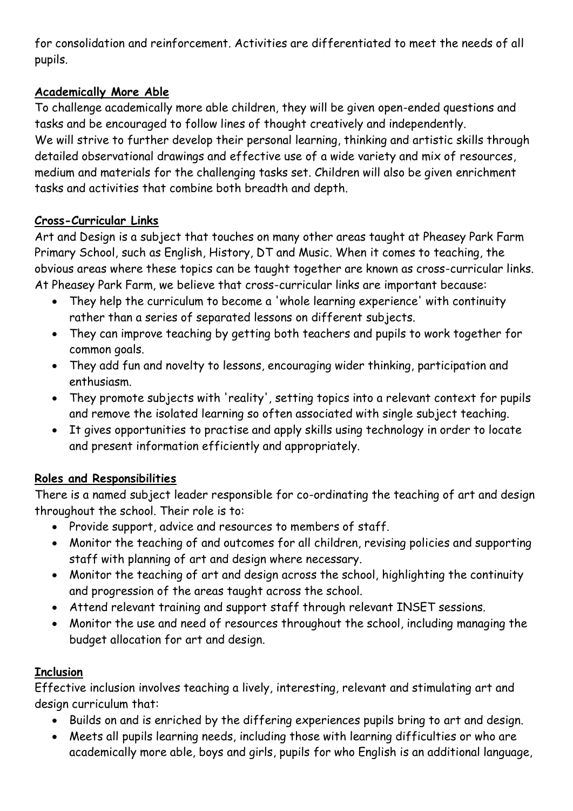for consolidation and reinforcement. Activities are differentiated to meet the needs of all pupils.

# **Academically More Able**

To challenge academically more able children, they will be given open-ended questions and tasks and be encouraged to follow lines of thought creatively and independently. We will strive to further develop their personal learning, thinking and artistic skills through detailed observational drawings and effective use of a wide variety and mix of resources, medium and materials for the challenging tasks set. Children will also be given enrichment tasks and activities that combine both breadth and depth.

## **Cross-Curricular Links**

Art and Design is a subject that touches on many other areas taught at Pheasey Park Farm Primary School, such as English, History, DT and Music. When it comes to teaching, the obvious areas where these topics can be taught together are known as cross-curricular links. At Pheasey Park Farm, we believe that cross-curricular links are important because:

- They help the curriculum to become a 'whole learning experience' with continuity rather than a series of separated lessons on different subjects.
- They can improve teaching by getting both teachers and pupils to work together for common goals.
- They add fun and novelty to lessons, encouraging wider thinking, participation and enthusiasm.
- They promote subjects with 'reality', setting topics into a relevant context for pupils and remove the isolated learning so often associated with single subject teaching.
- It gives opportunities to practise and apply skills using technology in order to locate and present information efficiently and appropriately.

## **Roles and Responsibilities**

There is a named subject leader responsible for co-ordinating the teaching of art and design throughout the school. Their role is to:

- Provide support, advice and resources to members of staff.
- Monitor the teaching of and outcomes for all children, revising policies and supporting staff with planning of art and design where necessary.
- Monitor the teaching of art and design across the school, highlighting the continuity and progression of the areas taught across the school.
- Attend relevant training and support staff through relevant INSET sessions.
- Monitor the use and need of resources throughout the school, including managing the budget allocation for art and design.

## **Inclusion**

Effective inclusion involves teaching a lively, interesting, relevant and stimulating art and design curriculum that:

- Builds on and is enriched by the differing experiences pupils bring to art and design.
- Meets all pupils learning needs, including those with learning difficulties or who are academically more able, boys and girls, pupils for who English is an additional language,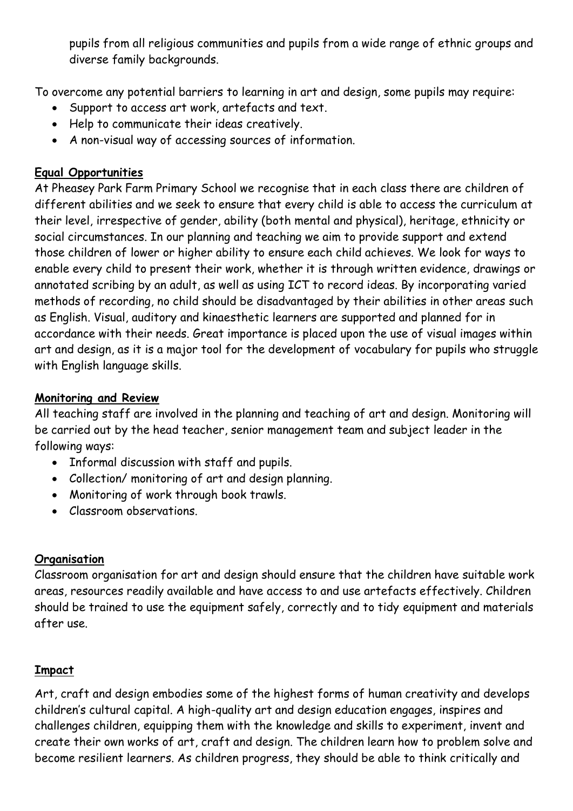pupils from all religious communities and pupils from a wide range of ethnic groups and diverse family backgrounds.

To overcome any potential barriers to learning in art and design, some pupils may require:

- Support to access art work, artefacts and text.
- Help to communicate their ideas creatively.
- A non-visual way of accessing sources of information.

# **Equal Opportunities**

At Pheasey Park Farm Primary School we recognise that in each class there are children of different abilities and we seek to ensure that every child is able to access the curriculum at their level, irrespective of gender, ability (both mental and physical), heritage, ethnicity or social circumstances. In our planning and teaching we aim to provide support and extend those children of lower or higher ability to ensure each child achieves. We look for ways to enable every child to present their work, whether it is through written evidence, drawings or annotated scribing by an adult, as well as using ICT to record ideas. By incorporating varied methods of recording, no child should be disadvantaged by their abilities in other areas such as English. Visual, auditory and kinaesthetic learners are supported and planned for in accordance with their needs. Great importance is placed upon the use of visual images within art and design, as it is a major tool for the development of vocabulary for pupils who struggle with English language skills.

## **Monitoring and Review**

All teaching staff are involved in the planning and teaching of art and design. Monitoring will be carried out by the head teacher, senior management team and subject leader in the following ways:

- Informal discussion with staff and pupils.
- Collection/ monitoring of art and design planning.
- Monitoring of work through book trawls.
- Classroom observations.

## **Organisation**

Classroom organisation for art and design should ensure that the children have suitable work areas, resources readily available and have access to and use artefacts effectively. Children should be trained to use the equipment safely, correctly and to tidy equipment and materials after use.

# **Impact**

Art, craft and design embodies some of the highest forms of human creativity and develops children's cultural capital. A high-quality art and design education engages, inspires and challenges children, equipping them with the knowledge and skills to experiment, invent and create their own works of art, craft and design. The children learn how to problem solve and become resilient learners. As children progress, they should be able to think critically and